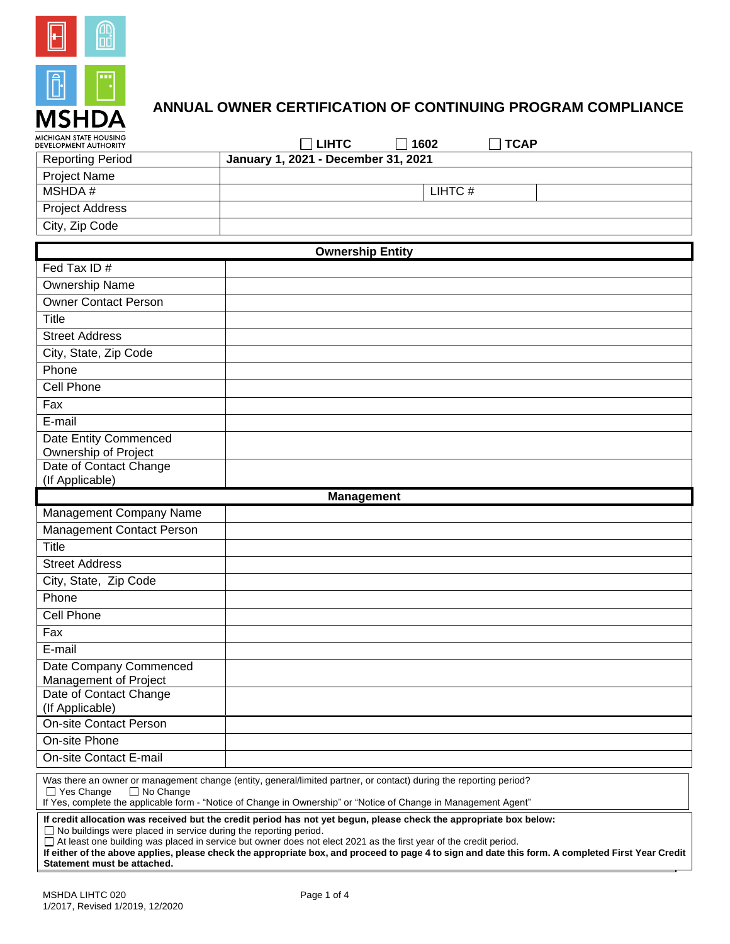

## **ANNUAL OWNER CERTIFICATION OF CONTINUING PROGRAM COMPLIANCE**

| MICHIGAN STATE HOUSING<br>DEVELOPMENT AUTHORITY | <b>LIHTC</b><br>1602<br><b>TCAP</b><br>$\overline{\phantom{a}}$                                                                                                                                                                        |  |  |  |
|-------------------------------------------------|----------------------------------------------------------------------------------------------------------------------------------------------------------------------------------------------------------------------------------------|--|--|--|
| <b>Reporting Period</b>                         | January 1, 2021 - December 31, 2021                                                                                                                                                                                                    |  |  |  |
| <b>Project Name</b>                             |                                                                                                                                                                                                                                        |  |  |  |
| <b>MSHDA#</b>                                   | LIHTC#                                                                                                                                                                                                                                 |  |  |  |
| <b>Project Address</b>                          |                                                                                                                                                                                                                                        |  |  |  |
| City, Zip Code                                  |                                                                                                                                                                                                                                        |  |  |  |
| <b>Ownership Entity</b>                         |                                                                                                                                                                                                                                        |  |  |  |
| Fed Tax ID#                                     |                                                                                                                                                                                                                                        |  |  |  |
| Ownership Name                                  |                                                                                                                                                                                                                                        |  |  |  |
| <b>Owner Contact Person</b>                     |                                                                                                                                                                                                                                        |  |  |  |
| Title                                           |                                                                                                                                                                                                                                        |  |  |  |
| <b>Street Address</b>                           |                                                                                                                                                                                                                                        |  |  |  |
|                                                 |                                                                                                                                                                                                                                        |  |  |  |
| City, State, Zip Code                           |                                                                                                                                                                                                                                        |  |  |  |
| Phone                                           |                                                                                                                                                                                                                                        |  |  |  |
| Cell Phone                                      |                                                                                                                                                                                                                                        |  |  |  |
| Fax                                             |                                                                                                                                                                                                                                        |  |  |  |
| E-mail                                          |                                                                                                                                                                                                                                        |  |  |  |
| Date Entity Commenced                           |                                                                                                                                                                                                                                        |  |  |  |
| Ownership of Project<br>Date of Contact Change  |                                                                                                                                                                                                                                        |  |  |  |
| (If Applicable)                                 |                                                                                                                                                                                                                                        |  |  |  |
| <b>Management</b>                               |                                                                                                                                                                                                                                        |  |  |  |
|                                                 |                                                                                                                                                                                                                                        |  |  |  |
| Management Company Name                         |                                                                                                                                                                                                                                        |  |  |  |
| <b>Management Contact Person</b>                |                                                                                                                                                                                                                                        |  |  |  |
| Title                                           |                                                                                                                                                                                                                                        |  |  |  |
| <b>Street Address</b>                           |                                                                                                                                                                                                                                        |  |  |  |
| City, State, Zip Code                           |                                                                                                                                                                                                                                        |  |  |  |
| Phone                                           |                                                                                                                                                                                                                                        |  |  |  |
| Cell Phone                                      |                                                                                                                                                                                                                                        |  |  |  |
| Fax                                             |                                                                                                                                                                                                                                        |  |  |  |
| E-mail                                          |                                                                                                                                                                                                                                        |  |  |  |
|                                                 |                                                                                                                                                                                                                                        |  |  |  |
| Date Company Commenced<br>Management of Project |                                                                                                                                                                                                                                        |  |  |  |
| Date of Contact Change                          |                                                                                                                                                                                                                                        |  |  |  |
| (If Applicable)                                 |                                                                                                                                                                                                                                        |  |  |  |
| <b>On-site Contact Person</b>                   |                                                                                                                                                                                                                                        |  |  |  |
| On-site Phone                                   |                                                                                                                                                                                                                                        |  |  |  |
| On-site Contact E-mail                          |                                                                                                                                                                                                                                        |  |  |  |
| $\Box$ Yes Change<br>$\Box$ No Change           | Was there an owner or management change (entity, general/limited partner, or contact) during the reporting period?<br>If Yes, complete the applicable form - "Notice of Change in Ownership" or "Notice of Change in Management Agent" |  |  |  |

At least one building was placed in service but owner does not elect 2021 as the first year of the credit period.

**If either of the above applies, please check the appropriate box, and proceed to page 4 to sign and date this form. A completed First Year Credit Statement must be attached.**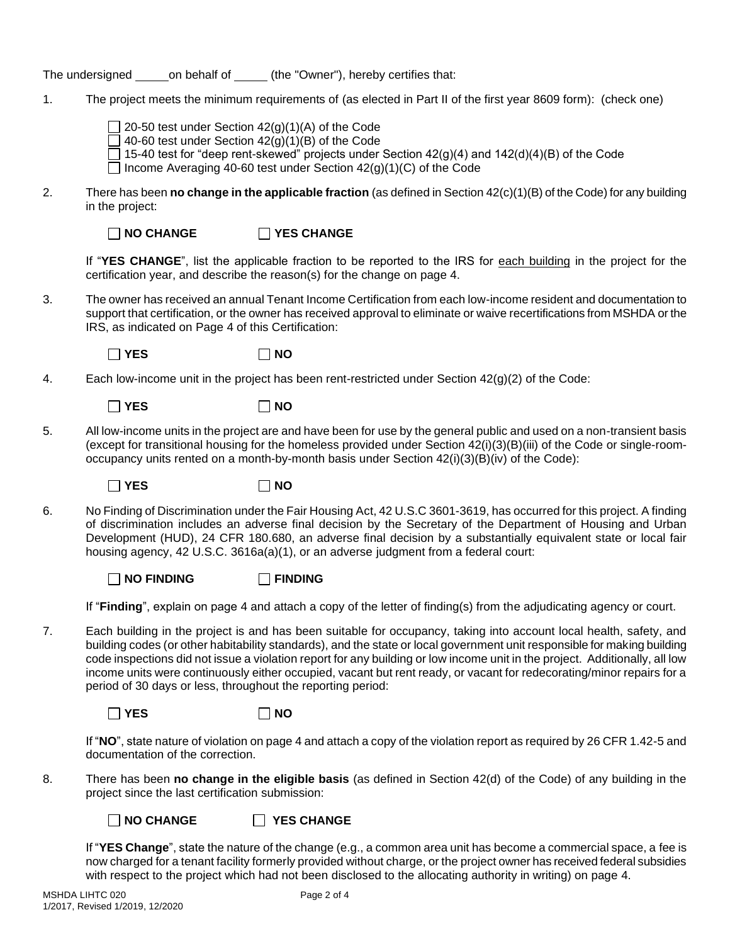The undersigned on behalf of (the "Owner"), hereby certifies that:

1. The project meets the minimum requirements of (as elected in Part II of the first year 8609 form): (check one)

 $\Box$  20-50 test under Section 42(g)(1)(A) of the Code  $\Box$  40-60 test under Section 42(g)(1)(B) of the Code

 $\Box$  15-40 test for "deep rent-skewed" projects under Section 42(g)(4) and 142(d)(4)(B) of the Code

Income Averaging 40-60 test under Section  $42(g)(1)(C)$  of the Code

2. There has been **no change in the applicable fraction** (as defined in Section 42(c)(1)(B) of the Code) for any building in the project:

**NO CHANGE YES CHANGE**

If "**YES CHANGE**", list the applicable fraction to be reported to the IRS for each building in the project for the certification year, and describe the reason(s) for the change on page 4.

3. The owner has received an annual Tenant Income Certification from each low-income resident and documentation to support that certification, or the owner has received approval to eliminate or waive recertifications from MSHDA or the IRS, as indicated on Page 4 of this Certification:

**YES NO**

4. Each low-income unit in the project has been rent-restricted under Section 42(g)(2) of the Code:

**YES NO**

5. All low-income units in the project are and have been for use by the general public and used on a non-transient basis (except for transitional housing for the homeless provided under Section 42(i)(3)(B)(iii) of the Code or single-roomoccupancy units rented on a month-by-month basis under Section 42(i)(3)(B)(iv) of the Code):

**YES NO**

6. No Finding of Discrimination under the Fair Housing Act, 42 U.S.C 3601-3619, has occurred for this project. A finding of discrimination includes an adverse final decision by the Secretary of the Department of Housing and Urban Development (HUD), 24 CFR 180.680, an adverse final decision by a substantially equivalent state or local fair housing agency, 42 U.S.C. 3616a(a)(1), or an adverse judgment from a federal court:

**NO FINDING FINDING**

If "**Finding**", explain on page 4 and attach a copy of the letter of finding(s) from the adjudicating agency or court.

7. Each building in the project is and has been suitable for occupancy, taking into account local health, safety, and building codes (or other habitability standards), and the state or local government unit responsible for making building code inspections did not issue a violation report for any building or low income unit in the project. Additionally, all low income units were continuously either occupied, vacant but rent ready, or vacant for redecorating/minor repairs for a period of 30 days or less, throughout the reporting period:

**YES NO**

If "**NO**", state nature of violation on page 4 and attach a copy of the violation report as required by 26 CFR 1.42-5 and documentation of the correction.

8. There has been **no change in the eligible basis** (as defined in Section 42(d) of the Code) of any building in the project since the last certification submission:



If "**YES Change**", state the nature of the change (e.g., a common area unit has become a commercial space, a fee is now charged for a tenant facility formerly provided without charge, or the project owner has received federal subsidies with respect to the project which had not been disclosed to the allocating authority in writing) on page 4.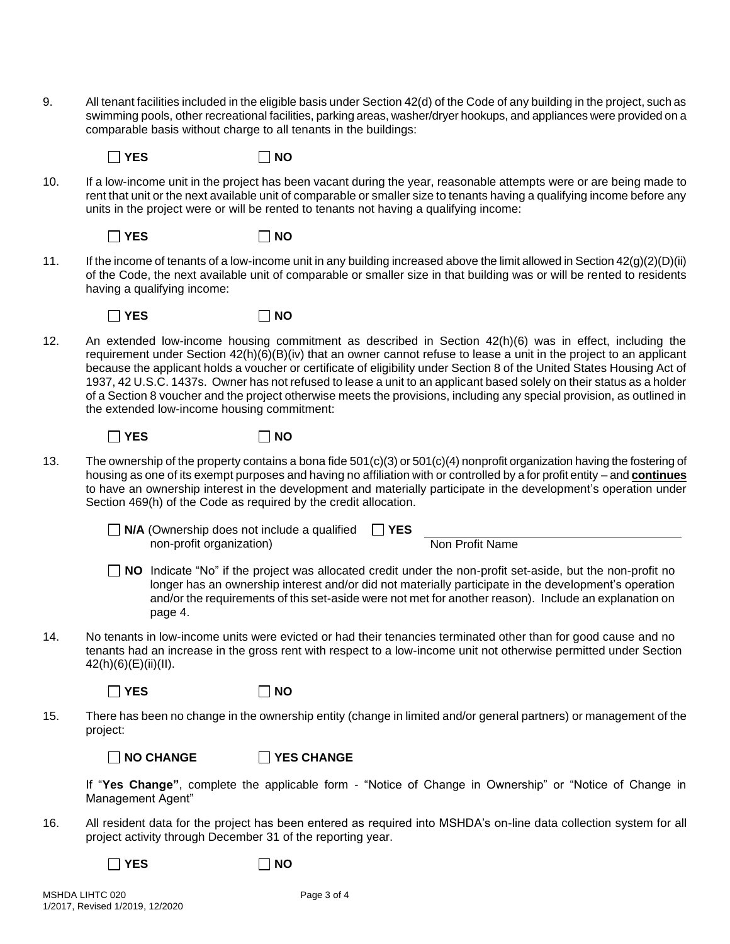9. All tenant facilities included in the eligible basis under Section 42(d) of the Code of any building in the project, such as swimming pools, other recreational facilities, parking areas, washer/dryer hookups, and appliances were provided on a comparable basis without charge to all tenants in the buildings:

**YES NO**

10. If a low-income unit in the project has been vacant during the year, reasonable attempts were or are being made to rent that unit or the next available unit of comparable or smaller size to tenants having a qualifying income before any units in the project were or will be rented to tenants not having a qualifying income:

 $\Box$  YES  $\Box$  NO

11. If the income of tenants of a low-income unit in any building increased above the limit allowed in Section 42(g)(2)(D)(ii) of the Code, the next available unit of comparable or smaller size in that building was or will be rented to residents having a qualifying income:

 $\Box$  YES  $\Box$  NO

12. An extended low-income housing commitment as described in Section 42(h)(6) was in effect, including the requirement under Section 42(h)(6)(B)(iv) that an owner cannot refuse to lease a unit in the project to an applicant because the applicant holds a voucher or certificate of eligibility under Section 8 of the United States Housing Act of 1937, 42 U.S.C. 1437s. Owner has not refused to lease a unit to an applicant based solely on their status as a holder of a Section 8 voucher and the project otherwise meets the provisions, including any special provision, as outlined in the extended low-income housing commitment:

**YES NO**

- 13. The ownership of the property contains a bona fide  $501(c)(3)$  or  $501(c)(4)$  nonprofit organization having the fostering of housing as one of its exempt purposes and having no affiliation with or controlled by a for profit entity – and **continues** to have an ownership interest in the development and materially participate in the development's operation under Section 469(h) of the Code as required by the credit allocation.
	-

**N/A** (Ownership does not include a qualified **YES** non-profit organization)

Non Profit Name

- **NO** Indicate "No" if the project was allocated credit under the non-profit set-aside, but the non-profit no longer has an ownership interest and/or did not materially participate in the development's operation and/or the requirements of this set-aside were not met for another reason). Include an explanation on page 4.
- 14. No tenants in low-income units were evicted or had their tenancies terminated other than for good cause and no tenants had an increase in the gross rent with respect to a low-income unit not otherwise permitted under Section 42(h)(6)(E)(ii)(II).

 $\neg$  YES  $\neg$  NO

15. There has been no change in the ownership entity (change in limited and/or general partners) or management of the project:

**NO CHANGE YES CHANGE**

If "**Yes Change"**, complete the applicable form - "Notice of Change in Ownership" or "Notice of Change in Management Agent"

16. All resident data for the project has been entered as required into MSHDA's on-line data collection system for all project activity through December 31 of the reporting year.